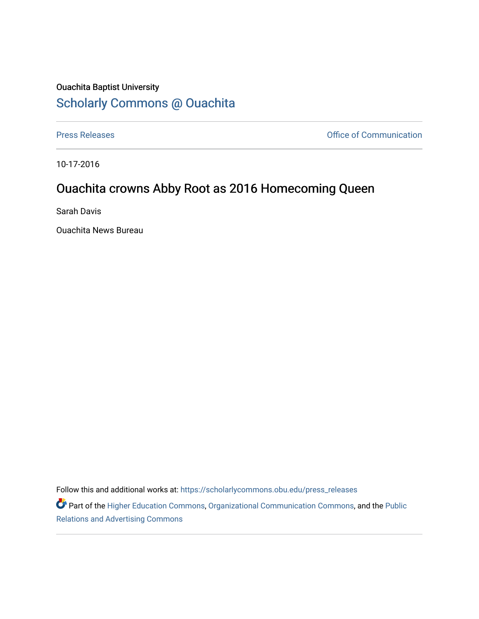## Ouachita Baptist University [Scholarly Commons @ Ouachita](https://scholarlycommons.obu.edu/)

[Press Releases](https://scholarlycommons.obu.edu/press_releases) **Press Releases Communication** 

10-17-2016

## Ouachita crowns Abby Root as 2016 Homecoming Queen

Sarah Davis

Ouachita News Bureau

Follow this and additional works at: [https://scholarlycommons.obu.edu/press\\_releases](https://scholarlycommons.obu.edu/press_releases?utm_source=scholarlycommons.obu.edu%2Fpress_releases%2F823&utm_medium=PDF&utm_campaign=PDFCoverPages)

Part of the [Higher Education Commons,](http://network.bepress.com/hgg/discipline/1245?utm_source=scholarlycommons.obu.edu%2Fpress_releases%2F823&utm_medium=PDF&utm_campaign=PDFCoverPages) [Organizational Communication Commons,](http://network.bepress.com/hgg/discipline/335?utm_source=scholarlycommons.obu.edu%2Fpress_releases%2F823&utm_medium=PDF&utm_campaign=PDFCoverPages) and the [Public](http://network.bepress.com/hgg/discipline/336?utm_source=scholarlycommons.obu.edu%2Fpress_releases%2F823&utm_medium=PDF&utm_campaign=PDFCoverPages) [Relations and Advertising Commons](http://network.bepress.com/hgg/discipline/336?utm_source=scholarlycommons.obu.edu%2Fpress_releases%2F823&utm_medium=PDF&utm_campaign=PDFCoverPages)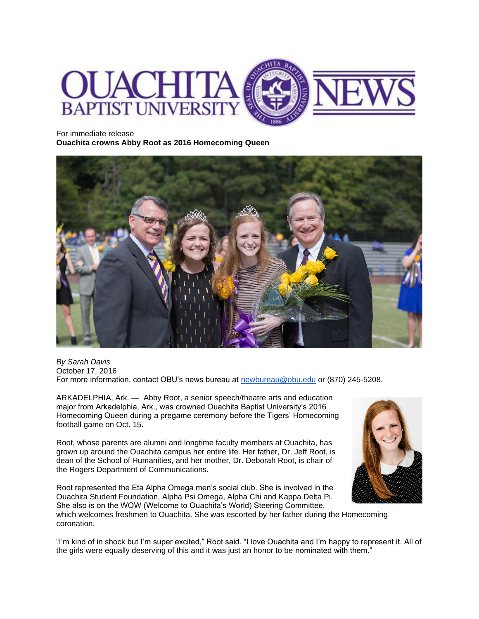

For immediate release

**Ouachita crowns Abby Root as 2016 Homecoming Queen**



*By Sarah Davis* October 17, 2016 For more information, contact OBU's news bureau at [newbureau@obu.edu](mailto:newbureau@obu.edu) or (870) 245-5208.

ARKADELPHIA, Ark. — Abby Root, a senior speech/theatre arts and education major from Arkadelphia, Ark., was crowned Ouachita Baptist University's 2016 Homecoming Queen during a pregame ceremony before the Tigers' Homecoming football game on Oct. 15.

Root, whose parents are alumni and longtime faculty members at Ouachita, has grown up around the Ouachita campus her entire life. Her father, Dr. Jeff Root, is dean of the School of Humanities, and her mother, Dr. Deborah Root, is chair of the Rogers Department of Communications.

Root represented the Eta Alpha Omega men's social club. She is involved in the Ouachita Student Foundation, Alpha Psi Omega, Alpha Chi and Kappa Delta Pi. She also is on the WOW (Welcome to Ouachita's World) Steering Committee,

which welcomes freshmen to Ouachita. She was escorted by her father during the Homecoming coronation.

"I'm kind of in shock but I'm super excited," Root said. "I love Ouachita and I'm happy to represent it. All of the girls were equally deserving of this and it was just an honor to be nominated with them."

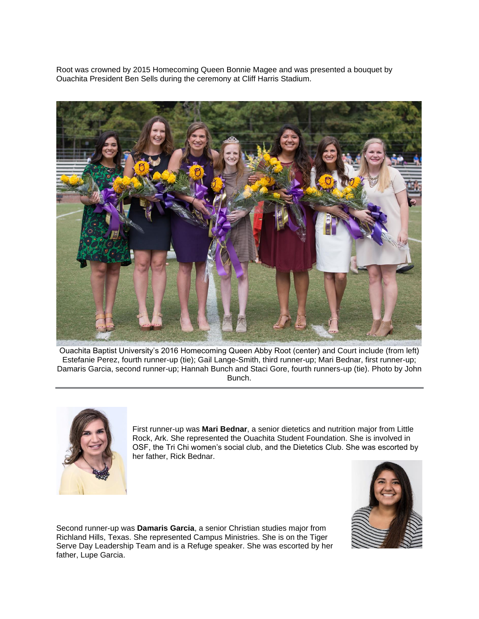Root was crowned by 2015 Homecoming Queen Bonnie Magee and was presented a bouquet by Ouachita President Ben Sells during the ceremony at Cliff Harris Stadium.



Ouachita Baptist University's 2016 Homecoming Queen Abby Root (center) and Court include (from left) Estefanie Perez, fourth runner-up (tie); Gail Lange-Smith, third runner-up; Mari Bednar, first runner-up; Damaris Garcia, second runner-up; Hannah Bunch and Staci Gore, fourth runners-up (tie). Photo by John Bunch.



First runner-up was **Mari Bednar**, a senior dietetics and nutrition major from Little Rock, Ark. She represented the Ouachita Student Foundation. She is involved in OSF, the Tri Chi women's social club, and the Dietetics Club. She was escorted by her father, Rick Bednar.



Second runner-up was **Damaris Garcia**, a senior Christian studies major from Richland Hills, Texas. She represented Campus Ministries. She is on the Tiger Serve Day Leadership Team and is a Refuge speaker. She was escorted by her father, Lupe Garcia.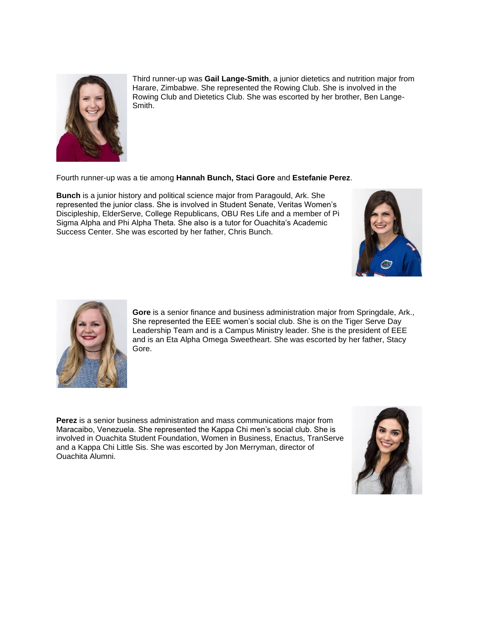

Third runner-up was **Gail Lange-Smith**, a junior dietetics and nutrition major from Harare, Zimbabwe. She represented the Rowing Club. She is involved in the Rowing Club and Dietetics Club. She was escorted by her brother, Ben Lange-Smith.

Fourth runner-up was a tie among **Hannah Bunch, Staci Gore** and **Estefanie Perez**.

**Bunch** is a junior history and political science major from Paragould, Ark. She represented the junior class. She is involved in Student Senate, Veritas Women's Discipleship, ElderServe, College Republicans, OBU Res Life and a member of Pi Sigma Alpha and Phi Alpha Theta. She also is a tutor for Ouachita's Academic Success Center. She was escorted by her father, Chris Bunch.





**Gore** is a senior finance and business administration major from Springdale, Ark., She represented the EEE women's social club. She is on the Tiger Serve Day Leadership Team and is a Campus Ministry leader. She is the president of EEE and is an Eta Alpha Omega Sweetheart. She was escorted by her father, Stacy Gore.

**Perez** is a senior business administration and mass communications major from Maracaibo, Venezuela. She represented the Kappa Chi men's social club. She is involved in Ouachita Student Foundation, Women in Business, Enactus, TranServe and a Kappa Chi Little Sis. She was escorted by Jon Merryman, director of Ouachita Alumni.

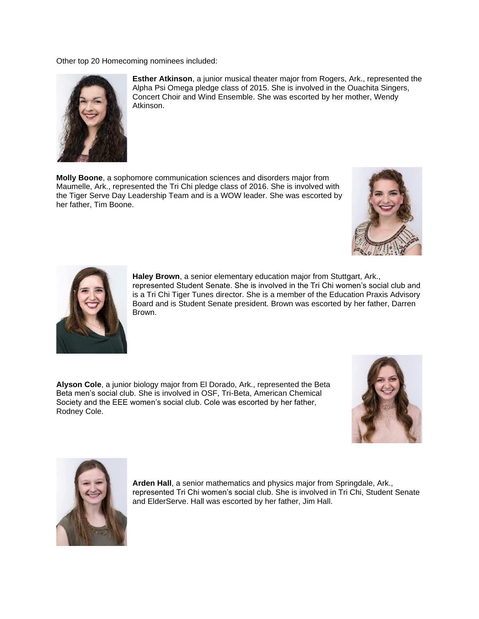Other top 20 Homecoming nominees included:



**Esther Atkinson**, a junior musical theater major from Rogers, Ark., represented the Alpha Psi Omega pledge class of 2015. She is involved in the Ouachita Singers, Concert Choir and Wind Ensemble. She was escorted by her mother, Wendy Atkinson.

**Molly Boone**, a sophomore communication sciences and disorders major from Maumelle, Ark., represented the Tri Chi pledge class of 2016. She is involved with the Tiger Serve Day Leadership Team and is a WOW leader. She was escorted by her father, Tim Boone.





**Haley Brown**, a senior elementary education major from Stuttgart, Ark., represented Student Senate. She is involved in the Tri Chi women's social club and is a Tri Chi Tiger Tunes director. She is a member of the Education Praxis Advisory Board and is Student Senate president. Brown was escorted by her father, Darren Brown.

**Alyson Cole**, a junior biology major from El Dorado, Ark., represented the Beta Beta men's social club. She is involved in OSF, Tri-Beta, American Chemical Society and the EEE women's social club. Cole was escorted by her father, Rodney Cole.





**Arden Hall**, a senior mathematics and physics major from Springdale, Ark., represented Tri Chi women's social club. She is involved in Tri Chi, Student Senate and ElderServe. Hall was escorted by her father, Jim Hall.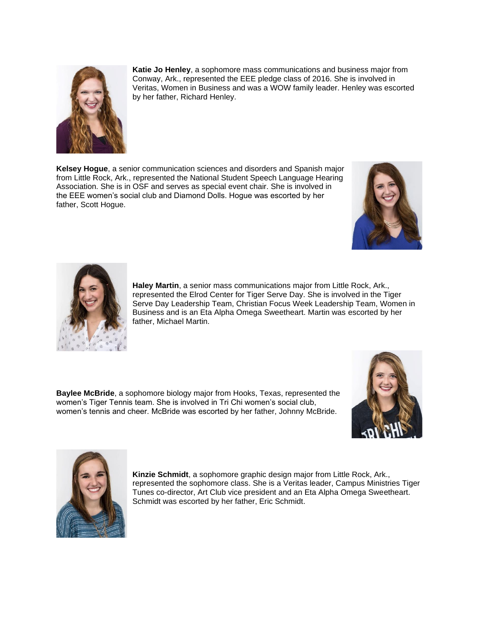

**Katie Jo Henley**, a sophomore mass communications and business major from Conway, Ark., represented the EEE pledge class of 2016. She is involved in Veritas, Women in Business and was a WOW family leader. Henley was escorted by her father, Richard Henley.

**Kelsey Hogue**, a senior communication sciences and disorders and Spanish major from Little Rock, Ark., represented the National Student Speech Language Hearing Association. She is in OSF and serves as special event chair. She is involved in the EEE women's social club and Diamond Dolls. Hogue was escorted by her father, Scott Hogue.





**Haley Martin**, a senior mass communications major from Little Rock, Ark., represented the Elrod Center for Tiger Serve Day. She is involved in the Tiger Serve Day Leadership Team, Christian Focus Week Leadership Team, Women in Business and is an Eta Alpha Omega Sweetheart. Martin was escorted by her father, Michael Martin.

**Baylee McBride**, a sophomore biology major from Hooks, Texas, represented the women's Tiger Tennis team. She is involved in Tri Chi women's social club, women's tennis and cheer. McBride was escorted by her father, Johnny McBride.





**Kinzie Schmidt**, a sophomore graphic design major from Little Rock, Ark., represented the sophomore class. She is a Veritas leader, Campus Ministries Tiger Tunes co-director, Art Club vice president and an Eta Alpha Omega Sweetheart. Schmidt was escorted by her father, Eric Schmidt.